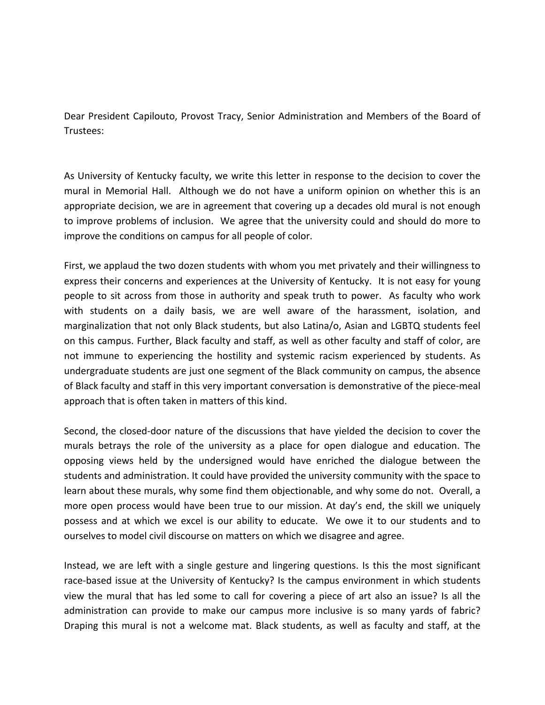Dear President Capilouto, Provost Tracy, Senior Administration and Members of the Board of Trustees:

As University of Kentucky faculty, we write this letter in response to the decision to cover the mural in Memorial Hall. Although we do not have a uniform opinion on whether this is an appropriate decision, we are in agreement that covering up a decades old mural is not enough to improve problems of inclusion. We agree that the university could and should do more to improve the conditions on campus for all people of color.

First, we applaud the two dozen students with whom you met privately and their willingness to express their concerns and experiences at the University of Kentucky. It is not easy for young people to sit across from those in authority and speak truth to power. As faculty who work with students on a daily basis, we are well aware of the harassment, isolation, and marginalization that not only Black students, but also Latina/o, Asian and LGBTQ students feel on this campus. Further, Black faculty and staff, as well as other faculty and staff of color, are not immune to experiencing the hostility and systemic racism experienced by students. As undergraduate students are just one segment of the Black community on campus, the absence of Black faculty and staff in this very important conversation is demonstrative of the piece-meal approach that is often taken in matters of this kind.

Second, the closed-door nature of the discussions that have yielded the decision to cover the murals betrays the role of the university as a place for open dialogue and education. The opposing views held by the undersigned would have enriched the dialogue between the students and administration. It could have provided the university community with the space to learn about these murals, why some find them objectionable, and why some do not. Overall, a more open process would have been true to our mission. At day's end, the skill we uniquely possess and at which we excel is our ability to educate. We owe it to our students and to ourselves to model civil discourse on matters on which we disagree and agree.

Instead, we are left with a single gesture and lingering questions. Is this the most significant race-based issue at the University of Kentucky? Is the campus environment in which students view the mural that has led some to call for covering a piece of art also an issue? Is all the administration can provide to make our campus more inclusive is so many yards of fabric? Draping this mural is not a welcome mat. Black students, as well as faculty and staff, at the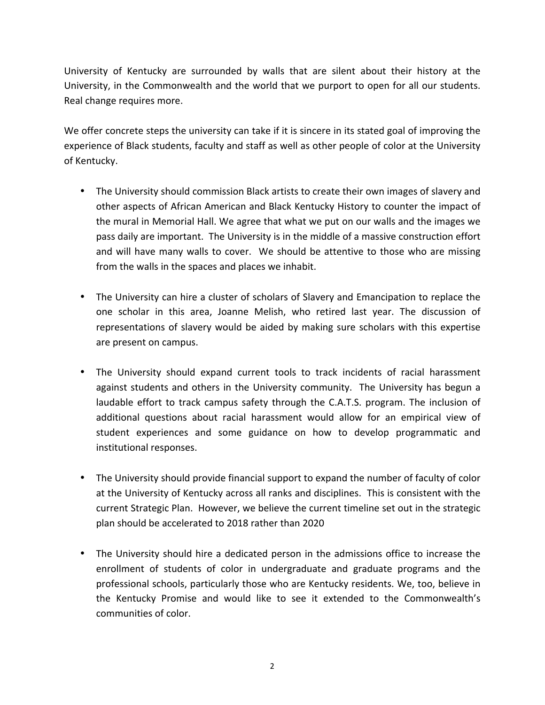University of Kentucky are surrounded by walls that are silent about their history at the University, in the Commonwealth and the world that we purport to open for all our students. Real change requires more.

We offer concrete steps the university can take if it is sincere in its stated goal of improving the experience of Black students, faculty and staff as well as other people of color at the University of Kentucky.

- The University should commission Black artists to create their own images of slavery and other aspects of African American and Black Kentucky History to counter the impact of the mural in Memorial Hall. We agree that what we put on our walls and the images we pass daily are important. The University is in the middle of a massive construction effort and will have many walls to cover. We should be attentive to those who are missing from the walls in the spaces and places we inhabit.
- The University can hire a cluster of scholars of Slavery and Emancipation to replace the one scholar in this area, Joanne Melish, who retired last year. The discussion of representations of slavery would be aided by making sure scholars with this expertise are present on campus.
- The University should expand current tools to track incidents of racial harassment against students and others in the University community. The University has begun a laudable effort to track campus safety through the C.A.T.S. program. The inclusion of additional questions about racial harassment would allow for an empirical view of student experiences and some guidance on how to develop programmatic and institutional responses.
- The University should provide financial support to expand the number of faculty of color at the University of Kentucky across all ranks and disciplines. This is consistent with the current Strategic Plan. However, we believe the current timeline set out in the strategic plan should be accelerated to 2018 rather than 2020
- The University should hire a dedicated person in the admissions office to increase the enrollment of students of color in undergraduate and graduate programs and the professional schools, particularly those who are Kentucky residents. We, too, believe in the Kentucky Promise and would like to see it extended to the Commonwealth's communities of color.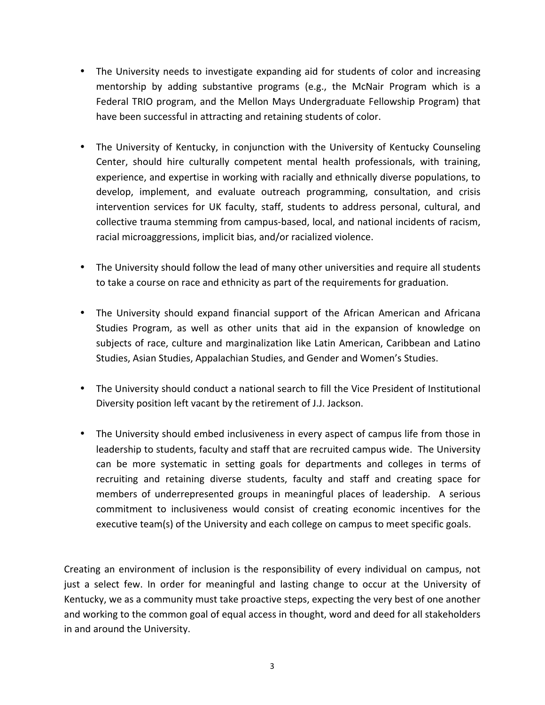- The University needs to investigate expanding aid for students of color and increasing mentorship by adding substantive programs (e.g., the McNair Program which is a Federal TRIO program, and the Mellon Mays Undergraduate Fellowship Program) that have been successful in attracting and retaining students of color.
- The University of Kentucky, in conjunction with the University of Kentucky Counseling Center, should hire culturally competent mental health professionals, with training, experience, and expertise in working with racially and ethnically diverse populations, to develop, implement, and evaluate outreach programming, consultation, and crisis intervention services for UK faculty, staff, students to address personal, cultural, and collective trauma stemming from campus-based, local, and national incidents of racism, racial microaggressions, implicit bias, and/or racialized violence.
- The University should follow the lead of many other universities and require all students to take a course on race and ethnicity as part of the requirements for graduation.
- The University should expand financial support of the African American and Africana Studies Program, as well as other units that aid in the expansion of knowledge on subjects of race, culture and marginalization like Latin American, Caribbean and Latino Studies, Asian Studies, Appalachian Studies, and Gender and Women's Studies.
- The University should conduct a national search to fill the Vice President of Institutional Diversity position left vacant by the retirement of J.J. Jackson.
- The University should embed inclusiveness in every aspect of campus life from those in leadership to students, faculty and staff that are recruited campus wide. The University can be more systematic in setting goals for departments and colleges in terms of recruiting and retaining diverse students, faculty and staff and creating space for members of underrepresented groups in meaningful places of leadership. A serious commitment to inclusiveness would consist of creating economic incentives for the executive team(s) of the University and each college on campus to meet specific goals.

Creating an environment of inclusion is the responsibility of every individual on campus, not just a select few. In order for meaningful and lasting change to occur at the University of Kentucky, we as a community must take proactive steps, expecting the very best of one another and working to the common goal of equal access in thought, word and deed for all stakeholders in and around the University.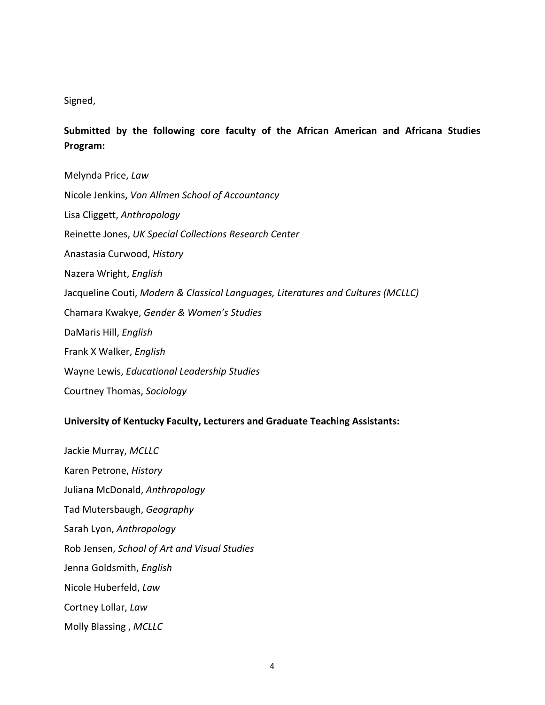## Signed,

Submitted by the following core faculty of the African American and Africana Studies **Program:**

Melynda Price, *Law*  Nicole Jenkins, *Von Allmen School of Accountancy* Lisa Cliggett, *Anthropology*  Reinette Jones, UK Special Collections Research Center Anastasia Curwood, *History*  Nazera Wright, *English*  Jacqueline Couti, *Modern & Classical Languages, Literatures and Cultures (MCLLC)* Chamara Kwakye, *Gender & Women's Studies* DaMaris Hill, *English* Frank X Walker, *English* Wayne Lewis, *Educational Leadership Studies* Courtney Thomas, *Sociology*

## **University of Kentucky Faculty, Lecturers and Graduate Teaching Assistants:**

Jackie Murray, MCLLC Karen Petrone, *History* Juliana McDonald, *Anthropology* Tad Mutersbaugh, *Geography* Sarah Lyon, Anthropology Rob Jensen, *School of Art and Visual Studies* Jenna Goldsmith, *English* Nicole Huberfeld, *Law* Cortney Lollar, *Law* Molly Blassing, MCLLC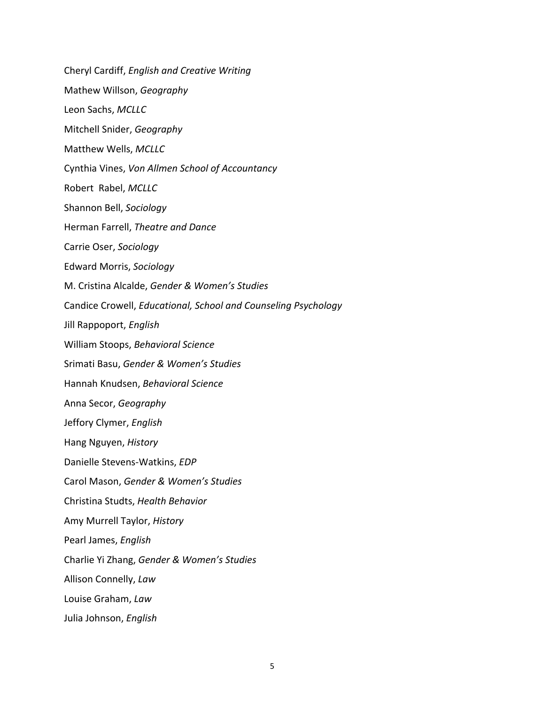Cheryl Cardiff, *English and Creative Writing* Mathew Willson, *Geography* Leon Sachs, MCLLC Mitchell Snider, *Geography* Matthew Wells, *MCLLC* Cynthia Vines, *Von Allmen School of Accountancy* Robert Rabel, *MCLLC* Shannon Bell, *Sociology* Herman Farrell, *Theatre and Dance* Carrie Oser, *Sociology* Edward Morris, *Sociology* M. Cristina Alcalde, *Gender & Women's Studies* Candice Crowell, *Educational, School and Counseling Psychology* Jill Rappoport, *English* William Stoops, *Behavioral Science* Srimati Basu, *Gender & Women's Studies* Hannah Knudsen, *Behavioral Science* Anna Secor, *Geography* Jeffory Clymer, *English* Hang Nguyen, *History* Danielle Stevens-Watkins, *EDP* Carol Mason, *Gender & Women's Studies* Christina Studts, *Health Behavior* Amy Murrell Taylor, *History* Pearl James, *English* Charlie Yi Zhang, *Gender & Women's Studies* Allison Connelly, *Law* Louise Graham, *Law* Julia Johnson, *English*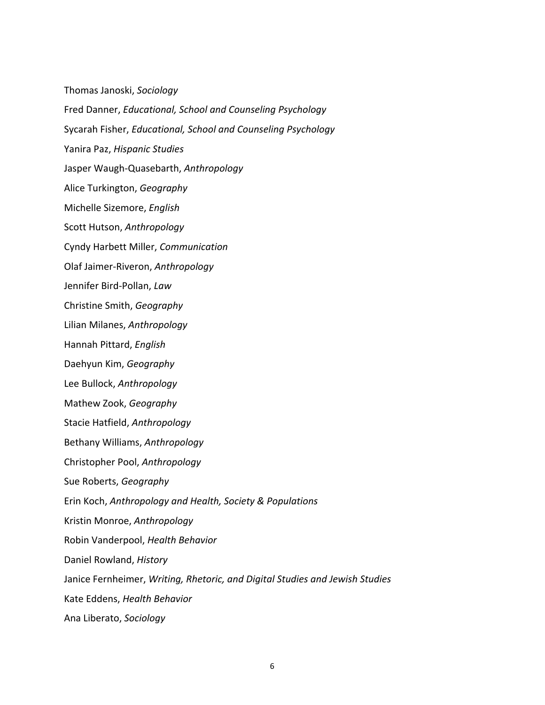Thomas Janoski, *Sociology* Fred Danner, *Educational, School and Counseling Psychology* Sycarah Fisher, *Educational, School and Counseling Psychology* Yanira Paz, *Hispanic Studies* Jasper Waugh-Quasebarth, Anthropology Alice Turkington, *Geography* Michelle Sizemore, *English* Scott Hutson, Anthropology Cyndy Harbett Miller, *Communication* Olaf Jaimer-Riveron, *Anthropology* Jennifer Bird-Pollan, Law Christine Smith, *Geography* Lilian Milanes, *Anthropology* Hannah Pittard, *English* Daehyun Kim, *Geography* Lee Bullock, Anthropology Mathew Zook, *Geography* Stacie Hatfield, *Anthropology* Bethany Williams, *Anthropology* Christopher Pool, *Anthropology* Sue Roberts, *Geography* Erin Koch, *Anthropology and Health, Society & Populations* Kristin Monroe, *Anthropology* Robin Vanderpool, *Health Behavior* Daniel Rowland, *History* Janice Fernheimer, Writing, Rhetoric, and Digital Studies and Jewish Studies Kate Eddens, *Health Behavior* Ana Liberato, *Sociology*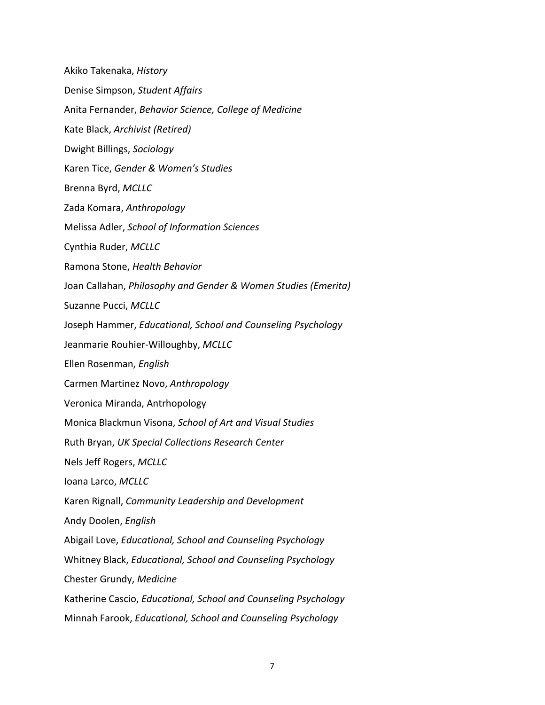Akiko Takenaka, *History* Denise Simpson, *Student Affairs* Anita Fernander, *Behavior Science, College of Medicine* Kate Black, *Archivist (Retired)* Dwight Billings, *Sociology* Karen Tice, *Gender & Women's Studies* Brenna Byrd, *MCLLC* Zada Komara, *Anthropology* Melissa Adler, *School of Information Sciences* Cynthia Ruder, *MCLLC* Ramona Stone, *Health Behavior*  Joan Callahan, *Philosophy and Gender & Women Studies (Emerita)* Suzanne Pucci, MCLLC Joseph Hammer, *Educational, School and Counseling Psychology* Jeanmarie Rouhier-Willoughby, MCLLC Ellen Rosenman, *English* Carmen Martinez Novo, *Anthropology* Veronica Miranda, Antrhopology Monica Blackmun Visona, *School of Art and Visual Studies* Ruth Bryan, *UK Special Collections Research Center* Nels Jeff Rogers, *MCLLC* Ioana Larco, *MCLLC* Karen Rignall, *Community Leadership and Development* Andy Doolen, *English* Abigail Love, *Educational, School and Counseling Psychology* Whitney Black, *Educational, School and Counseling Psychology* Chester Grundy, *Medicine* Katherine Cascio, *Educational, School and Counseling Psychology* Minnah Farook, *Educational, School and Counseling Psychology*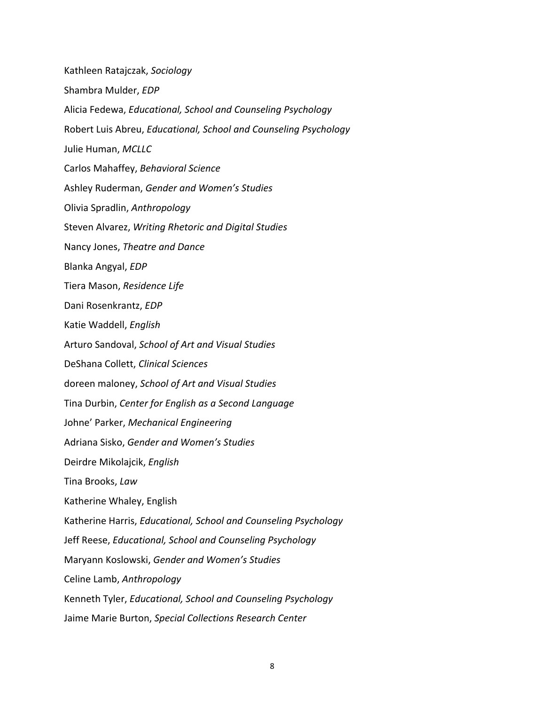Kathleen Ratajczak, *Sociology*  Shambra Mulder, *EDP* Alicia Fedewa, *Educational, School and Counseling Psychology* Robert Luis Abreu, *Educational, School and Counseling Psychology* Julie Human, MCLLC Carlos Mahaffey, *Behavioral Science* Ashley Ruderman, *Gender and Women's Studies* Olivia Spradlin, *Anthropology* Steven Alvarez, *Writing Rhetoric and Digital Studies* Nancy Jones, *Theatre and Dance* Blanka Angyal, *EDP* Tiera Mason, *Residence Life* Dani Rosenkrantz, *EDP* Katie Waddell, *English* Arturo Sandoval, *School of Art and Visual Studies* DeShana Collett, *Clinical Sciences* doreen maloney, *School of Art and Visual Studies* Tina Durbin, *Center for English as a Second Language* Johne' Parker, *Mechanical Engineering* Adriana Sisko, *Gender and Women's Studies* Deirdre Mikolajcik, *English* Tina Brooks, *Law* Katherine Whaley, English Katherine Harris, *Educational, School and Counseling Psychology* Jeff Reese, *Educational, School and Counseling Psychology* Maryann Koslowski, *Gender and Women's Studies* Celine Lamb, *Anthropology* Kenneth Tyler, *Educational, School and Counseling Psychology* Jaime Marie Burton, *Special Collections Research Center*